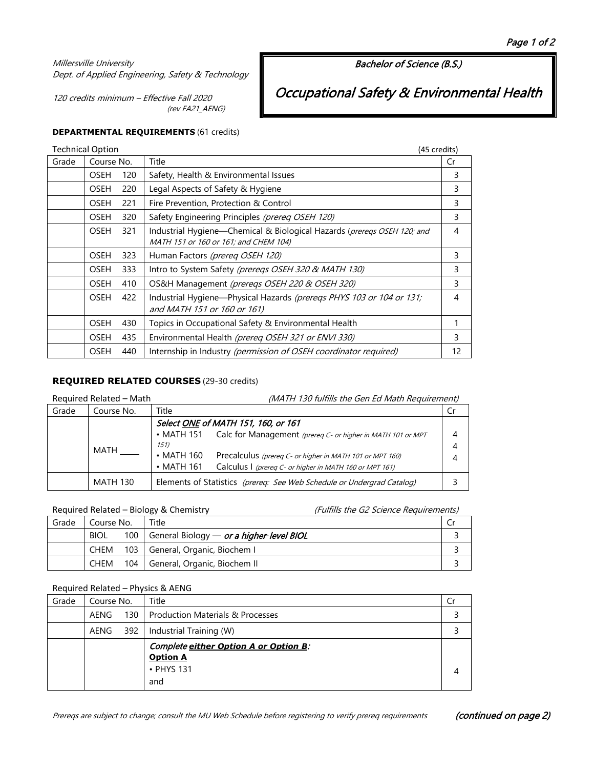## Millersville University Dept. of Applied Engineering, Safety & Technology

120 credits minimum – Effective Fall 2020 (rev FA21\_AENG) Bachelor of Science (B.S.)

Occupational Safety & Environmental Health

# **DEPARTMENTAL REQUIREMENTS** (61 credits)

| <b>Technical Option</b> |                                  |                                                      |                                                                                                                  | (45 credits) |
|-------------------------|----------------------------------|------------------------------------------------------|------------------------------------------------------------------------------------------------------------------|--------------|
| Grade                   | Course No.<br><b>OSEH</b><br>120 |                                                      | Title                                                                                                            | Cr           |
|                         |                                  |                                                      | Safety, Health & Environmental Issues                                                                            | 3            |
|                         | <b>OSEH</b>                      | 220                                                  | Legal Aspects of Safety & Hygiene                                                                                | 3            |
|                         | <b>OSEH</b>                      | 221                                                  | Fire Prevention, Protection & Control                                                                            | 3            |
|                         | <b>OSEH</b>                      | 320                                                  | Safety Engineering Principles (prereq OSEH 120)                                                                  | 3            |
|                         | OSEH                             | 321                                                  | Industrial Hygiene-Chemical & Biological Hazards (prereqs OSEH 120; and<br>MATH 151 or 160 or 161; and CHEM 104) | 4            |
|                         | <b>OSEH</b>                      | 323                                                  | Human Factors (prereq OSEH 120)                                                                                  | 3            |
|                         | <b>OSEH</b>                      | 333                                                  | Intro to System Safety (prereqs OSEH 320 & MATH 130)                                                             | 3            |
|                         | <b>OSEH</b>                      | OS&H Management (preregs OSEH 220 & OSEH 320)<br>410 |                                                                                                                  | 3            |
|                         | <b>OSEH</b>                      | 422                                                  | Industrial Hygiene-Physical Hazards (preregs PHYS 103 or 104 or 131;<br>and MATH 151 or 160 or 161)              | 4            |
|                         | <b>OSEH</b>                      | 430                                                  | Topics in Occupational Safety & Environmental Health                                                             | 1            |
|                         | <b>OSEH</b>                      | 435                                                  | Environmental Health (prereq OSEH 321 or ENVI 330)                                                               | 3            |
|                         | OSEH                             | 440                                                  | Internship in Industry (permission of OSEH coordinator required)                                                 | 12           |

## **REQUIRED RELATED COURSES** (29-30 credits)

| Required Related - Math |                 | (MATH 130 fulfills the Gen Ed Math Requirement)                              |     |
|-------------------------|-----------------|------------------------------------------------------------------------------|-----|
| Grade                   | Course No.      | Title                                                                        | .Cr |
|                         |                 | Select ONE of MATH 151, 160, or 161                                          |     |
|                         |                 | • MATH 151 Calc for Management (prereq C- or higher in MATH 101 or MPT       | 4   |
|                         | MATH            | 151)                                                                         | 4   |
|                         |                 | $\cdot$ MATH 160<br>Precalculus (prereg C- or higher in MATH 101 or MPT 160) | 4   |
|                         |                 | $\cdot$ MATH 161<br>Calculus I (prereg C- or higher in MATH 160 or MPT 161)  |     |
|                         | <b>MATH 130</b> | Elements of Statistics (prereq: See Web Schedule or Undergrad Catalog)       |     |

## Required Related – Biology & Chemistry (Fulfills the G2 Science Requirements)

| Grade | Course No.  |  | Title                                                 |  |
|-------|-------------|--|-------------------------------------------------------|--|
|       | <b>BIOL</b> |  | 100   General Biology — <i>or a higher-level BIOL</i> |  |
|       | CHEM        |  | 103 General, Organic, Biochem I                       |  |
|       | CHEM        |  | 104   General, Organic, Biochem II                    |  |

## Required Related – Physics & AENG

| Grade | Course No.<br>AENG |  | Title                                                                         |  |
|-------|--------------------|--|-------------------------------------------------------------------------------|--|
|       |                    |  | 130   Production Materials & Processes                                        |  |
|       | AENG               |  | 392   Industrial Training (W)                                                 |  |
|       |                    |  | Complete either Option A or Option B.<br><b>Option A</b><br>• PHYS 131<br>and |  |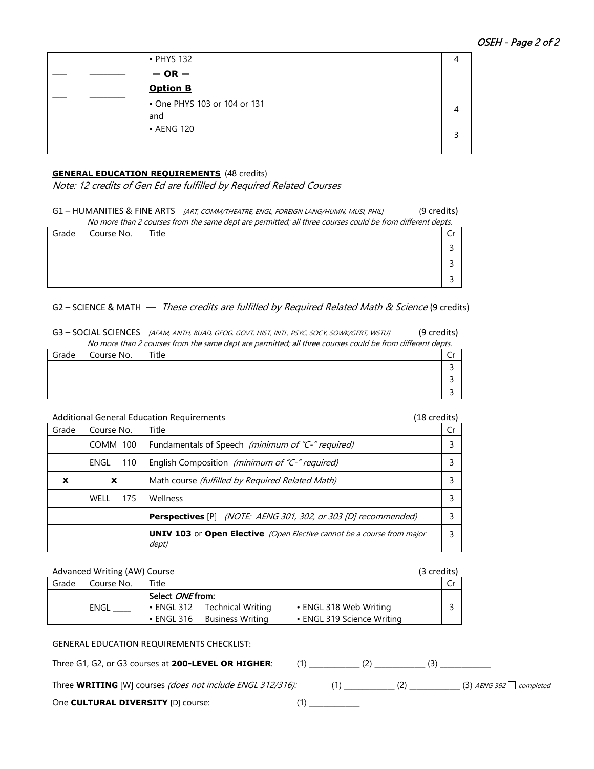|  | • PHYS 132                          |  |
|--|-------------------------------------|--|
|  | $-$ OR $-$                          |  |
|  | <b>Option B</b>                     |  |
|  | • One PHYS 103 or 104 or 131<br>and |  |
|  | • AENG 120                          |  |

## **GENERAL EDUCATION REQUIREMENTS** (48 credits)

Note: 12 credits of Gen Ed are fulfilled by Required Related Courses

G1 - HUMANITIES & FINE ARTS [ART, COMM/THEATRE, ENGL, FOREIGN LANG/HUMN, MUSI, PHIL] (9 credits)

|                              | No more than 2 courses from the same dept are permitted; all three courses could be from different depts. |  |  |  |  |  |
|------------------------------|-----------------------------------------------------------------------------------------------------------|--|--|--|--|--|
| Title<br>Grade<br>Course No. |                                                                                                           |  |  |  |  |  |
|                              |                                                                                                           |  |  |  |  |  |
|                              |                                                                                                           |  |  |  |  |  |
|                              |                                                                                                           |  |  |  |  |  |

G2 - SCIENCE & MATH - These credits are fulfilled by Required Related Math & Science (9 credits)

G3 - SOCIAL SCIENCES [AFAM, ANTH, BUAD, GEOG, GOVT, HIST, INTL, PSYC, SOCY, SOWK/GERT, WSTUJ (9 credits) No more than 2 courses from the same dept are permitted; all three courses could be from different depts.

|       | TWO more than z courses nonrune same dept are permitted, all three courses could be from unletent depts. |       |  |  |  |  |  |
|-------|----------------------------------------------------------------------------------------------------------|-------|--|--|--|--|--|
| Grade | Course No.                                                                                               | Title |  |  |  |  |  |
|       |                                                                                                          |       |  |  |  |  |  |
|       |                                                                                                          |       |  |  |  |  |  |
|       |                                                                                                          |       |  |  |  |  |  |

Additional General Education Requirements (18 credits)

| Grade | Course No.  | Title                                                                                  |  |
|-------|-------------|----------------------------------------------------------------------------------------|--|
|       | COMM 100    | Fundamentals of Speech (minimum of "C-" required)                                      |  |
|       | 110<br>ENGL | English Composition (minimum of "C-" required)                                         |  |
| x     | x           | Math course <i>(fulfilled by Required Related Math)</i>                                |  |
|       | WFII<br>175 | Wellness                                                                               |  |
|       |             | <b>Perspectives</b> [P] (NOTE: AENG 301, 302, or 303 [D] recommended)                  |  |
|       |             | <b>UNIV 103</b> or Open Elective (Open Elective cannot be a course from major<br>dept) |  |

## Advanced Writing (AW) Course (3 credits) and 3 credits)

| Grade | Course No. | Title                   |                   |                            |  |
|-------|------------|-------------------------|-------------------|----------------------------|--|
|       |            | Select <i>ONE</i> from: |                   |                            |  |
|       | ENGL       | • ENGL 312              | Technical Writing | • ENGL 318 Web Writing     |  |
|       |            | $\bullet$ ENGL 316      | Business Writina  | • ENGL 319 Science Writing |  |

## GENERAL EDUCATION REQUIREMENTS CHECKLIST:

| Three G1, G2, or G3 courses at 200-LEVEL OR HIGHER:                      |  |                                 |
|--------------------------------------------------------------------------|--|---------------------------------|
| Three <b>WRITING</b> [W] courses <i>(does not include ENGL 312/316):</i> |  | $(3)$ AENG 392 $\Box$ completed |

One **CULTURAL DIVERSITY** [D] course: (1)